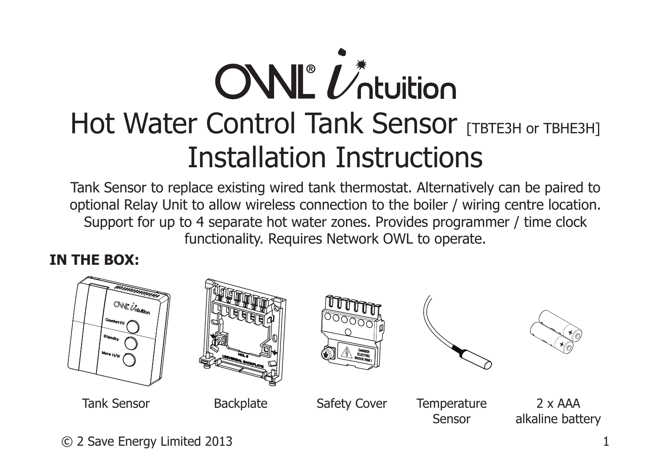# $\overline{\text{CNL}}^{\ell}$ Hot Water Control Tank Sensor [TBTE3H or TBHE3H] Installation Instructions

Tank Sensor to replace existing wired tank thermostat. Alternatively can be paired to optional Relay Unit to allow wireless connection to the boiler / wiring centre location. Support for up to 4 separate hot water zones. Provides programmer / time clock functionality. Requires Network OWL to operate.

#### **IN THE BOX:**



© 2 Save Energy Limited 2013 1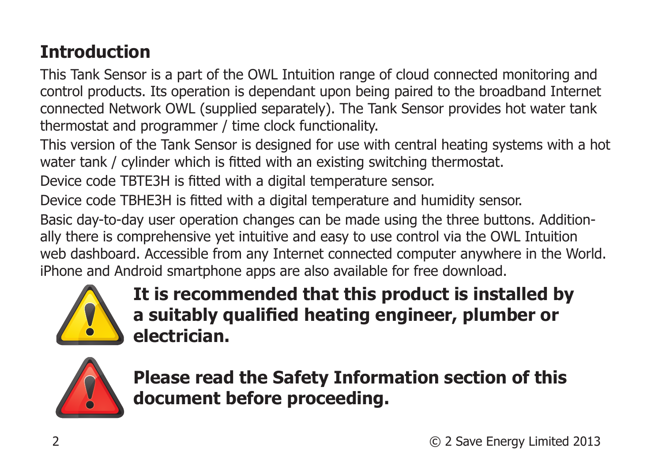# **Introduction**

This Tank Sensor is a part of the OWL Intuition range of cloud connected monitoring and control products. Its operation is dependant upon being paired to the broadband Internet connected Network OWL (supplied separately). The Tank Sensor provides hot water tank thermostat and programmer / time clock functionality.

This version of the Tank Sensor is designed for use with central heating systems with a hot water tank / cylinder which is fitted with an existing switching thermostat.

Device code TBTE3H is fitted with a digital temperature sensor.

Device code TBHE3H is fitted with a digital temperature and humidity sensor. Basic day-to-day user operation changes can be made using the three buttons. Additionally there is comprehensive yet intuitive and easy to use control via the OWL Intuition web dashboard. Accessible from any Internet connected computer anywhere in the World. iPhone and Android smartphone apps are also available for free download.



**It is recommended that this product is installed by a suitably qualified heating engineer, plumber or electrician.**



**Please read the Safety Information section of this document before proceeding.**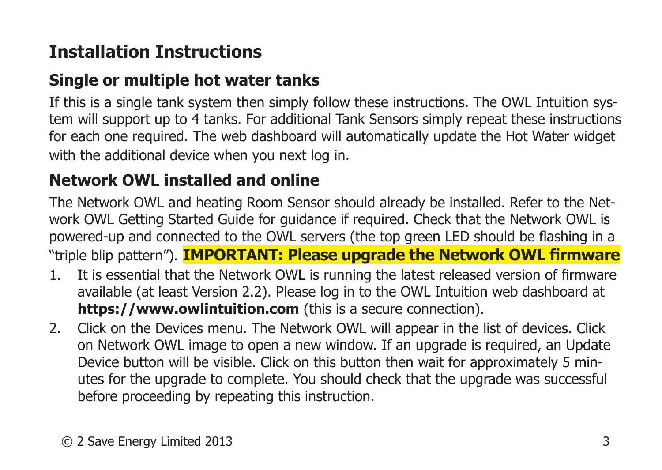# **Installation Instructions**

## **Single or multiple hot water tanks**

If this is a single tank system then simply follow these instructions. The OWL Intuition system will support up to 4 tanks. For additional Tank Sensors simply repeat these instructions for each one required. The web dashboard will automatically update the Hot Water widget with the additional device when you next log in.

## **Network OWL installed and online**

The Network OWL and heating Room Sensor should already be installed. Refer to the Network OWL Getting Started Guide for guidance if required. Check that the Network OWL is powered-up and connected to the OWL servers (the top green LED should be flashing in a "triple blip pattern"). **IMPORTANT: Please upgrade the Network OWL firmware**

- 1. It is essential that the Network OWL is running the latest released version of firmware available (at least Version 2.2). Please log in to the OWL Intuition web dashboard at **https://www.owlintuition.com** (this is a secure connection).
- 2. Click on the Devices menu. The Network OWL will appear in the list of devices. Click on Network OWL image to open a new window. If an upgrade is required, an Update Device button will be visible. Click on this button then wait for approximately 5 minutes for the upgrade to complete. You should check that the upgrade was successful before proceeding by repeating this instruction.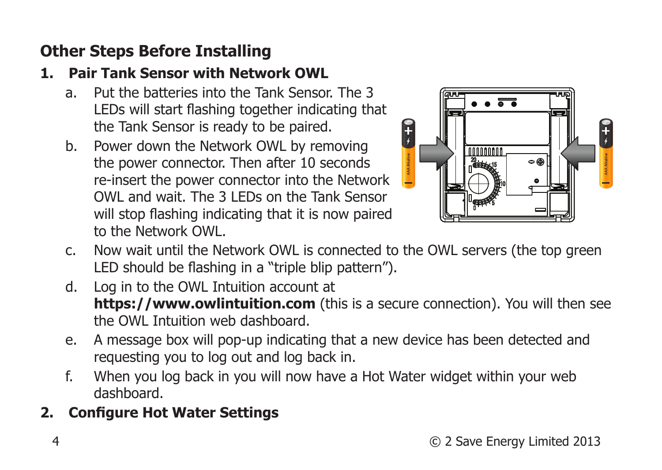## **Other Steps Before Installing**

## **1. Pair Tank Sensor with Network OWL**

- a. Put the batteries into the Tank Sensor. The 3 LEDs will start flashing together indicating that the Tank Sensor is ready to be paired.
- b. Power down the Network OWL by removing the power connector. Then after 10 seconds re-insert the power connector into the Network OWL and wait. The 3 LEDs on the Tank Sensor will stop flashing indicating that it is now paired to the Network OWL.



- c. Now wait until the Network OWL is connected to the OWL servers (the top green LED should be flashing in a "triple blip pattern").
- d. Log in to the OWL Intuition account at **https://www.owlintuition.com** (this is a secure connection). You will then see the OWL Intuition web dashboard.
- e. A message box will pop-up indicating that a new device has been detected and requesting you to log out and log back in.
- f. When you log back in you will now have a Hot Water widget within your web dashboard.

## **2. Configure Hot Water Settings**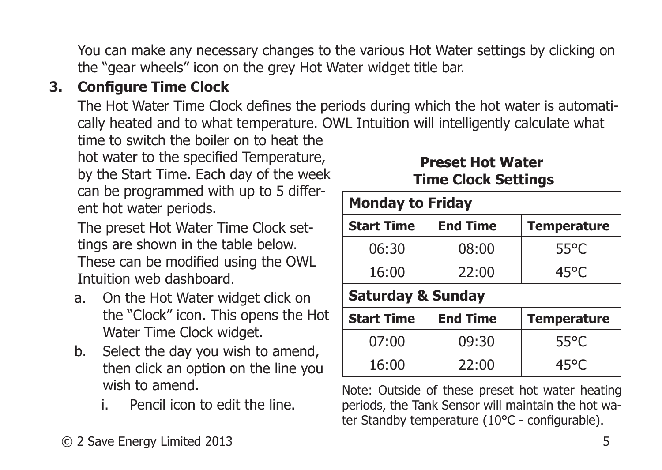You can make any necessary changes to the various Hot Water settings by clicking on the "gear wheels" icon on the grey Hot Water widget title bar.

## **3. Configure Time Clock**

The Hot Water Time Clock defines the periods during which the hot water is automatically heated and to what temperature. OWL Intuition will intelligently calculate what

time to switch the boiler on to heat the hot water to the specified Temperature, by the Start Time. Each day of the week can be programmed with up to 5 different hot water periods.

The preset Hot Water Time Clock settings are shown in the table below. These can be modified using the OWL Intuition web dashboard.

- a. On the Hot Water widget click on the "Clock" icon. This opens the Hot Water Time Clock widget.
- b. Select the day you wish to amend, then click an option on the line you wish to amend.
	- i. Pencil icon to edit the line.

#### **Preset Hot Water Time Clock Settings**

| <b>Monday to Friday</b>      |                 |                    |  |
|------------------------------|-----------------|--------------------|--|
| <b>Start Time</b>            | <b>End Time</b> | <b>Temperature</b> |  |
| 06:30                        | 08:00           | $55^{\circ}$ C     |  |
| 16:00                        | 22:00           | $45^{\circ}$ C     |  |
| <b>Saturday &amp; Sunday</b> |                 |                    |  |
| <b>Start Time</b>            | <b>End Time</b> | <b>Temperature</b> |  |
| 07:00                        | 09:30           | $55^{\circ}$ C     |  |
| 16:00                        | 22:00           | 45°C               |  |

Note: Outside of these preset hot water heating periods, the Tank Sensor will maintain the hot water Standby temperature (10°C - configurable).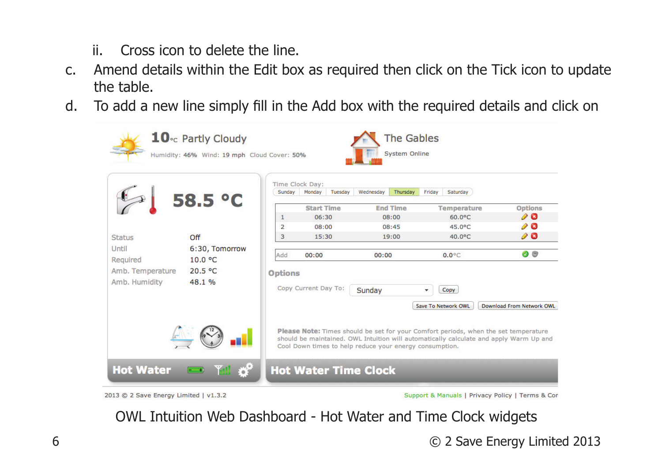- ii. Cross icon to delete the line.
- c. Amend details within the Edit box as required then click on the Tick icon to update the table.
- d. To add a new line simply fill in the Add box with the required details and click on



Support & Manuals | Privacy Policy | Terms & Con

OWL Intuition Web Dashboard - Hot Water and Time Clock widgets

6 © 2 Save Energy Limited 2013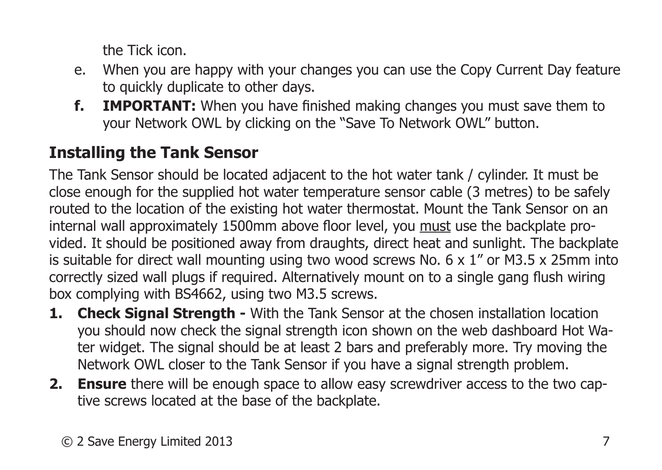the Tick icon.

- e. When you are happy with your changes you can use the Copy Current Day feature to quickly duplicate to other days.
- **f. IMPORTANT:** When you have finished making changes you must save them to your Network OWL by clicking on the "Save To Network OWL" button.

## **Installing the Tank Sensor**

The Tank Sensor should be located adjacent to the hot water tank / cylinder. It must be close enough for the supplied hot water temperature sensor cable (3 metres) to be safely routed to the location of the existing hot water thermostat. Mount the Tank Sensor on an internal wall approximately 1500mm above floor level, you must use the backplate provided. It should be positioned away from draughts, direct heat and sunlight. The backplate is suitable for direct wall mounting using two wood screws No.  $6 \times 1$ " or M3.5  $\times$  25mm into correctly sized wall plugs if required. Alternatively mount on to a single gang flush wiring box complying with BS4662, using two M3.5 screws.

- **1. Check Signal Strength -** With the Tank Sensor at the chosen installation location you should now check the signal strength icon shown on the web dashboard Hot Water widget. The signal should be at least 2 bars and preferably more. Try moving the Network OWL closer to the Tank Sensor if you have a signal strength problem.
- **2. Ensure** there will be enough space to allow easy screwdriver access to the two captive screws located at the base of the backplate.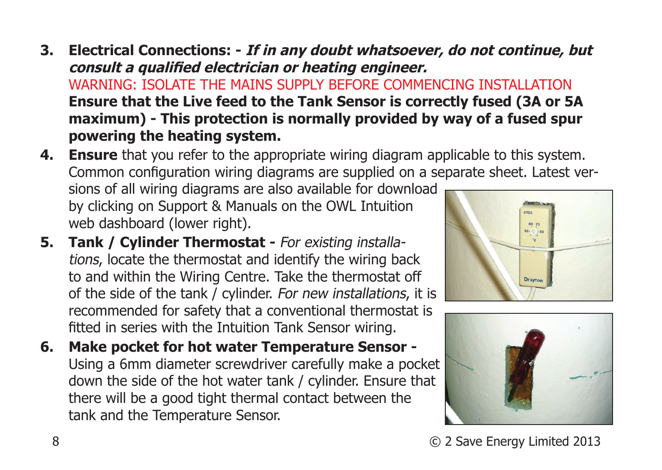- **3. Electrical Connections: If in any doubt whatsoever, do not continue, but consult a qualified electrician or heating engineer.** WARNING: ISOLATE THE MAINS SUPPLY BEFORE COMMENCING INSTALLATION **Ensure that the Live feed to the Tank Sensor is correctly fused (3A or 5A maximum) - This protection is normally provided by way of a fused spur powering the heating system.**
- **4. Ensure** that you refer to the appropriate wiring diagram applicable to this system. Common configuration wiring diagrams are supplied on a separate sheet. Latest versions of all wiring diagrams are also available for download by clicking on Support & Manuals on the OWL Intuition web dashboard (lower right).
- **5. Tank / Cylinder Thermostat For existing installa**tions, locate the thermostat and identify the wiring back to and within the Wiring Centre. Take the thermostat off of the side of the tank / cylinder. For new installations, it is recommended for safety that a conventional thermostat is fitted in series with the Intuition Tank Sensor wiring.
- **6. Make pocket for hot water Temperature Sensor**  Using a 6mm diameter screwdriver carefully make a pocket down the side of the hot water tank / cylinder. Ensure that there will be a good tight thermal contact between the tank and the Temperature Sensor.



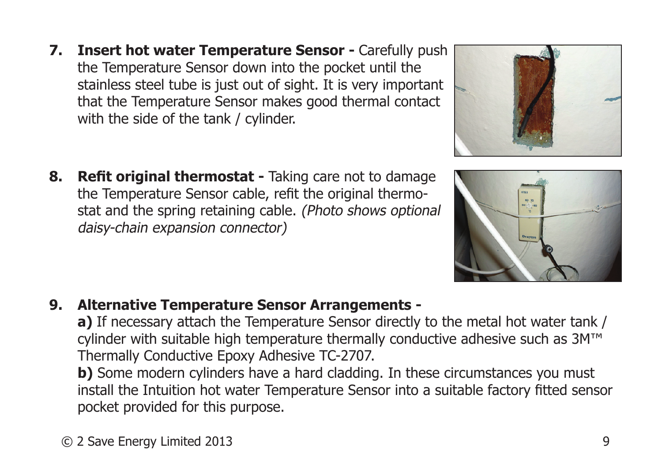- **7. Insert hot water Temperature Sensor Carefully push** the Temperature Sensor down into the pocket until the stainless steel tube is just out of sight. It is very important that the Temperature Sensor makes good thermal contact with the side of the tank / cylinder.
- **8. Refit original thermostat** Taking care not to damage the Temperature Sensor cable, refit the original thermostat and the spring retaining cable. (Photo shows optional daisy-chain expansion connector)

**9. Alternative Temperature Sensor Arrangements -**

**a)** If necessary attach the Temperature Sensor directly to the metal hot water tank / cylinder with suitable high temperature thermally conductive adhesive such as 3M™ Thermally Conductive Epoxy Adhesive TC-2707.

**b)** Some modern cylinders have a hard cladding. In these circumstances you must install the Intuition hot water Temperature Sensor into a suitable factory fitted sensor pocket provided for this purpose.





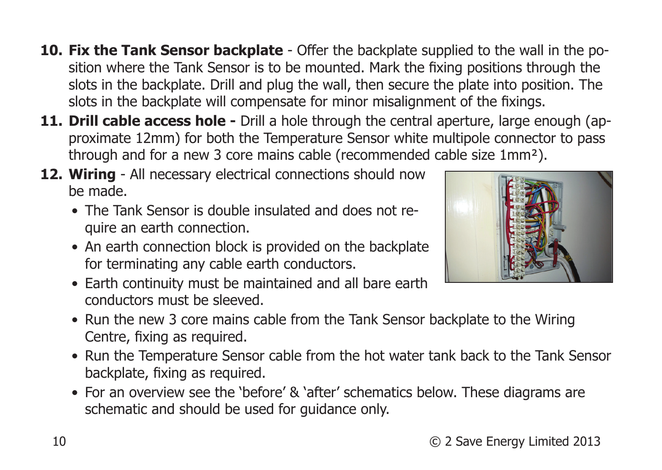- 10 © 2 Save Energy Limited 2013
	-
- Run the Temperature Sensor cable from the hot water tank back to the Tank Sensor backplate, fixing as required.
- Run the new 3 core mains cable from the Tank Sensor backplate to the Wiring Centre, fixing as required.

• For an overview see the 'before' & 'after' schematics below. These diagrams are

**10. Fix the Tank Sensor backplate** - Offer the backplate supplied to the wall in the position where the Tank Sensor is to be mounted. Mark the fixing positions through the slots in the backplate. Drill and plug the wall, then secure the plate into position. The

slots in the backplate will compensate for minor misalignment of the fixings. **11. Drill cable access hole -** Drill a hole through the central aperture, large enough (approximate 12mm) for both the Temperature Sensor white multipole connector to pass

through and for a new 3 core mains cable (recommended cable size 1mm²).

- 
- An earth connection block is provided on the backplate for terminating any cable earth conductors. • Earth continuity must be maintained and all bare earth conductors must be sleeved.
- **12. Wiring** All necessary electrical connections should now be made.

schematic and should be used for guidance only.

- 
- The Tank Sensor is double insulated and does not require an earth connection.

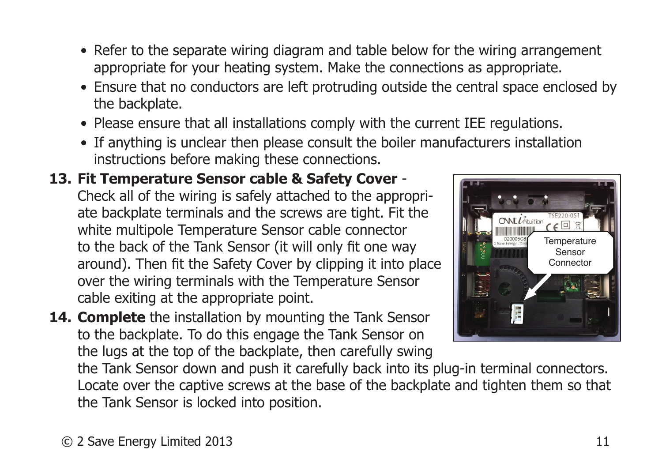- Refer to the separate wiring diagram and table below for the wiring arrangement appropriate for your heating system. Make the connections as appropriate.
- Ensure that no conductors are left protruding outside the central space enclosed by the backplate.
- Please ensure that all installations comply with the current IEE regulations.
- If anything is unclear then please consult the boiler manufacturers installation instructions before making these connections.

#### **13. Fit Temperature Sensor cable & Safety Cover** -

Check all of the wiring is safely attached to the appropriate backplate terminals and the screws are tight. Fit the white multipole Temperature Sensor cable connector to the back of the Tank Sensor (it will only fit one way around). Then fit the Safety Cover by clipping it into place over the wiring terminals with the Temperature Sensor cable exiting at the appropriate point.

**14. Complete** the installation by mounting the Tank Sensor to the backplate. To do this engage the Tank Sensor on the lugs at the top of the backplate, then carefully swing



the Tank Sensor down and push it carefully back into its plug-in terminal connectors. Locate over the captive screws at the base of the backplate and tighten them so that the Tank Sensor is locked into position.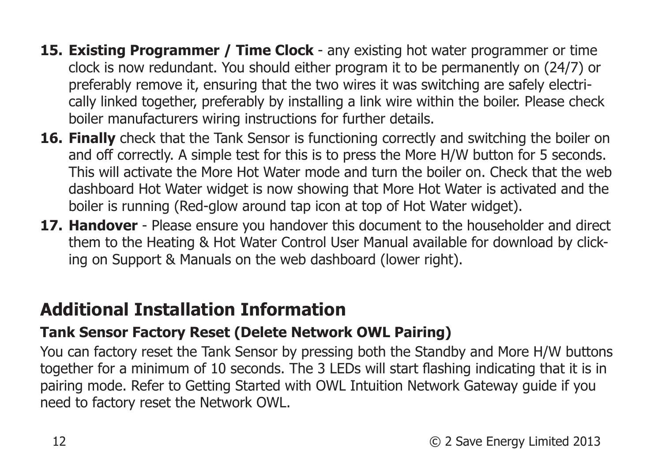- **15. Existing Programmer / Time Clock**  any existing hot water programmer or time clock is now redundant. You should either program it to be permanently on (24/7) or preferably remove it, ensuring that the two wires it was switching are safely electrically linked together, preferably by installing a link wire within the boiler. Please check boiler manufacturers wiring instructions for further details.
- **16. Finally** check that the Tank Sensor is functioning correctly and switching the boiler on and off correctly. A simple test for this is to press the More H/W button for 5 seconds. This will activate the More Hot Water mode and turn the boiler on. Check that the web dashboard Hot Water widget is now showing that More Hot Water is activated and the boiler is running (Red-glow around tap icon at top of Hot Water widget).
- **17. Handover** Please ensure you handover this document to the householder and direct them to the Heating & Hot Water Control User Manual available for download by clicking on Support & Manuals on the web dashboard (lower right).

## **Additional Installation Information**

#### **Tank Sensor Factory Reset (Delete Network OWL Pairing)**

You can factory reset the Tank Sensor by pressing both the Standby and More H/W buttons together for a minimum of 10 seconds. The 3 LEDs will start flashing indicating that it is in pairing mode. Refer to Getting Started with OWL Intuition Network Gateway guide if you need to factory reset the Network OWL.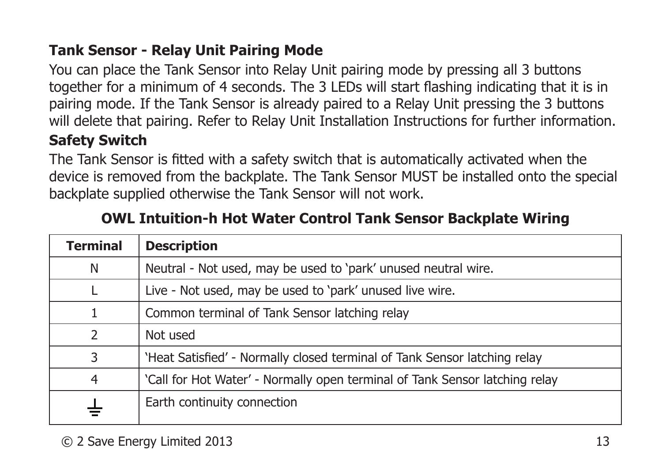#### **Tank Sensor - Relay Unit Pairing Mode**

You can place the Tank Sensor into Relay Unit pairing mode by pressing all 3 buttons together for a minimum of 4 seconds. The 3 LEDs will start flashing indicating that it is in pairing mode. If the Tank Sensor is already paired to a Relay Unit pressing the 3 buttons will delete that pairing. Refer to Relay Unit Installation Instructions for further information.

#### **Safety Switch**

The Tank Sensor is fitted with a safety switch that is automatically activated when the device is removed from the backplate. The Tank Sensor MUST be installed onto the special backplate supplied otherwise the Tank Sensor will not work.

| <b>Terminal</b> | <b>Description</b>                                                          |
|-----------------|-----------------------------------------------------------------------------|
| N               | Neutral - Not used, may be used to 'park' unused neutral wire.              |
|                 | Live - Not used, may be used to 'park' unused live wire.                    |
| 1               | Common terminal of Tank Sensor latching relay                               |
| $\mathcal{P}$   | Not used                                                                    |
| 3               | 'Heat Satisfied' - Normally closed terminal of Tank Sensor latching relay   |
| 4               | 'Call for Hot Water' - Normally open terminal of Tank Sensor latching relay |
|                 | Earth continuity connection                                                 |

#### **OWL Intuition-h Hot Water Control Tank Sensor Backplate Wiring**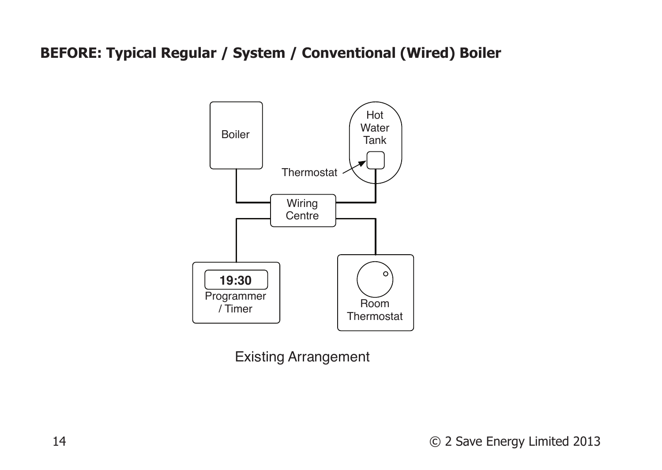#### **BEFORE: Typical Regular / System / Conventional (Wired) Boiler**



Existing Arrangement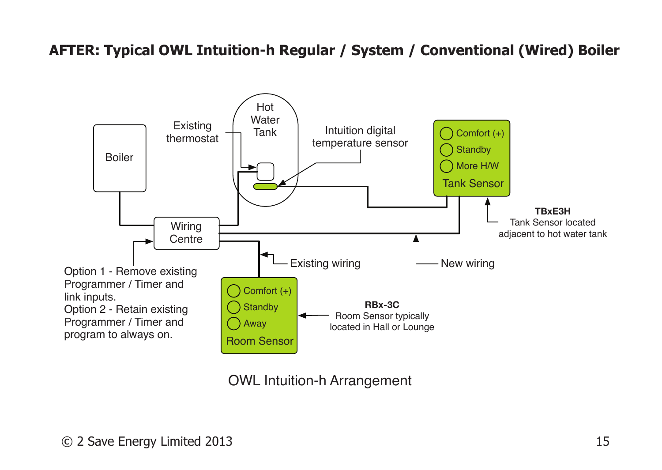#### **AFTER: Typical OWL Intuition-h Regular / System / Conventional (Wired) Boiler**



OWL Intuition-h Arrangement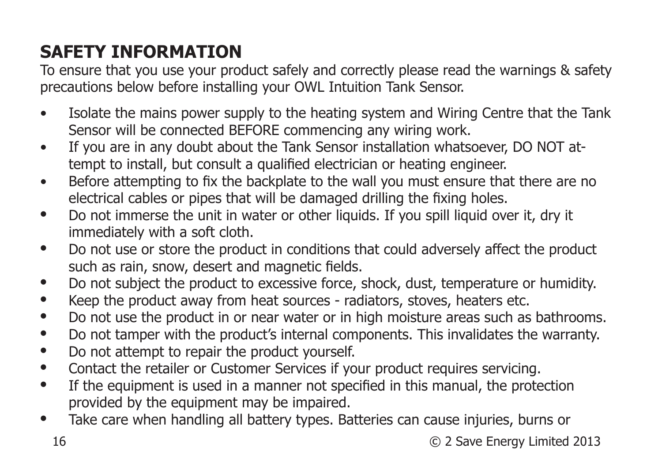# **SAFETY INFORMATION**

To ensure that you use your product safely and correctly please read the warnings & safety precautions below before installing your OWL Intuition Tank Sensor.

- Isolate the mains power supply to the heating system and Wiring Centre that the Tank Sensor will be connected BEFORE commencing any wiring work.
- If you are in any doubt about the Tank Sensor installation whatsoever, DO NOT attempt to install, but consult a qualified electrician or heating engineer.
- Before attempting to fix the backplate to the wall you must ensure that there are no electrical cables or pipes that will be damaged drilling the fixing holes.
- Do not immerse the unit in water or other liquids. If you spill liquid over it, dry it immediately with a soft cloth.
- Do not use or store the product in conditions that could adversely affect the product such as rain, snow, desert and magnetic fields.
- Do not subject the product to excessive force, shock, dust, temperature or humidity.<br>• Keep the product away from beat courses radiators, stoves, begins atsociated
- Keep the product away from heat sources radiators, stoves, heaters etc.
- Do not use the product in or near water or in high moisture areas such as bathrooms.
- Do not tamper with the product's internal components. This invalidates the warranty.<br>• Do not attempt to repair the product vourself
- Do not attempt to repair the product yourself.
- Contact the retailer or Customer Services if your product requires servicing.<br>• If the equipment is used in a manner not specified in this manual, the prote
- If the equipment is used in a manner not specified in this manual, the protection provided by the equipment may be impaired.
- Take care when handling all battery types. Batteries can cause injuries, burns or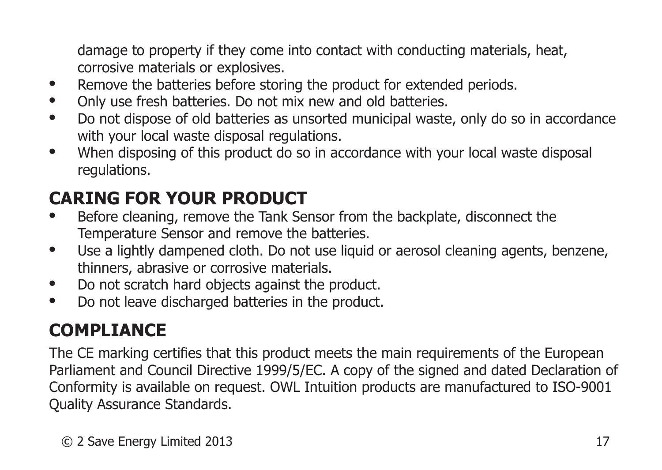damage to property if they come into contact with conducting materials, heat, corrosive materials or explosives.

- Remove the batteries before storing the product for extended periods.
- Only use fresh batteries. Do not mix new and old batteries.
- Do not dispose of old batteries as unsorted municipal waste, only do so in accordance with your local waste disposal regulations.
- When disposing of this product do so in accordance with your local waste disposal regulations.

# **CARING FOR YOUR PRODUCT**

- Before cleaning, remove the Tank Sensor from the backplate, disconnect the Temperature Sensor and remove the batteries.
- Use a lightly dampened cloth. Do not use liquid or aerosol cleaning agents, benzene, thinners, abrasive or corrosive materials.
- Do not scratch hard objects against the product.
- Do not leave discharged batteries in the product.

# **COMPLIANCE**

The CE marking certifies that this product meets the main requirements of the European Parliament and Council Directive 1999/5/EC. A copy of the signed and dated Declaration of Conformity is available on request. OWL Intuition products are manufactured to ISO-9001 Quality Assurance Standards.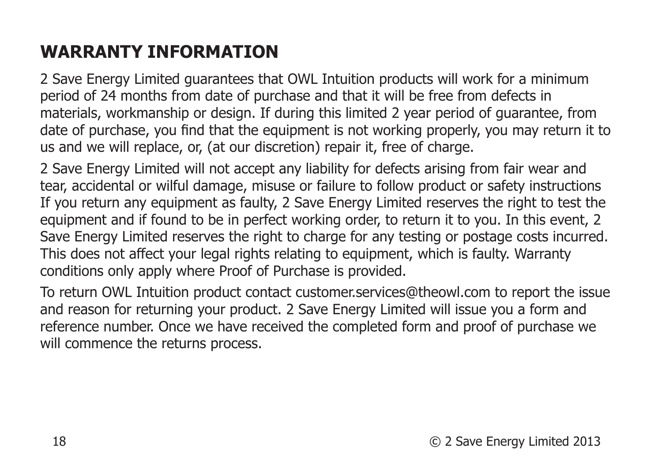# **WARRANTY INFORMATION**

2 Save Energy Limited guarantees that OWL Intuition products will work for a minimum period of 24 months from date of purchase and that it will be free from defects in materials, workmanship or design. If during this limited 2 year period of guarantee, from date of purchase, you find that the equipment is not working properly, you may return it to us and we will replace, or, (at our discretion) repair it, free of charge.

2 Save Energy Limited will not accept any liability for defects arising from fair wear and tear, accidental or wilful damage, misuse or failure to follow product or safety instructions If you return any equipment as faulty, 2 Save Energy Limited reserves the right to test the equipment and if found to be in perfect working order, to return it to you. In this event, 2 Save Energy Limited reserves the right to charge for any testing or postage costs incurred. This does not affect your legal rights relating to equipment, which is faulty. Warranty conditions only apply where Proof of Purchase is provided.

To return OWL Intuition product contact customer.services@theowl.com to report the issue and reason for returning your product. 2 Save Energy Limited will issue you a form and reference number. Once we have received the completed form and proof of purchase we will commence the returns process.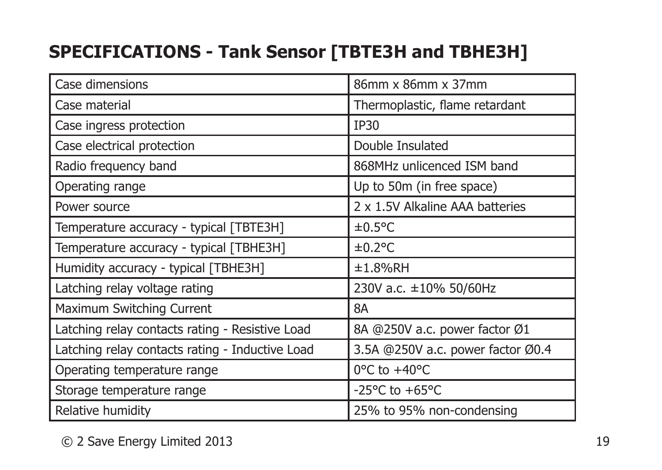## **SPECIFICATIONS - Tank Sensor [TBTE3H and TBHE3H]**

| Case dimensions                                 | 86mm x 86mm x 37mm                 |
|-------------------------------------------------|------------------------------------|
| Case material                                   | Thermoplastic, flame retardant     |
| Case ingress protection                         | IP30                               |
| Case electrical protection                      | Double Insulated                   |
| Radio frequency band                            | 868MHz unlicenced ISM band         |
| Operating range                                 | Up to 50m (in free space)          |
| Power source                                    | 2 x 1.5V Alkaline AAA batteries    |
| Temperature accuracy - typical [TBTE3H]         | $±0.5$ °C                          |
| Temperature accuracy - typical [TBHE3H]         | $\pm 0.2$ °C                       |
| Humidity accuracy - typical [TBHE3H]            | ±1.8%RH                            |
| Latching relay voltage rating                   | 230V a.c. ±10% 50/60Hz             |
| Maximum Switching Current                       | 8A                                 |
| Latching relay contacts rating - Resistive Load | 8A @250V a.c. power factor Ø1      |
| Latching relay contacts rating - Inductive Load | 3.5A @250V a.c. power factor Ø0.4  |
| Operating temperature range                     | $0^{\circ}$ C to $+40^{\circ}$ C   |
| Storage temperature range                       | -25 $\degree$ C to +65 $\degree$ C |
| Relative humidity                               | 25% to 95% non-condensing          |

© 2 Save Energy Limited 2013 19